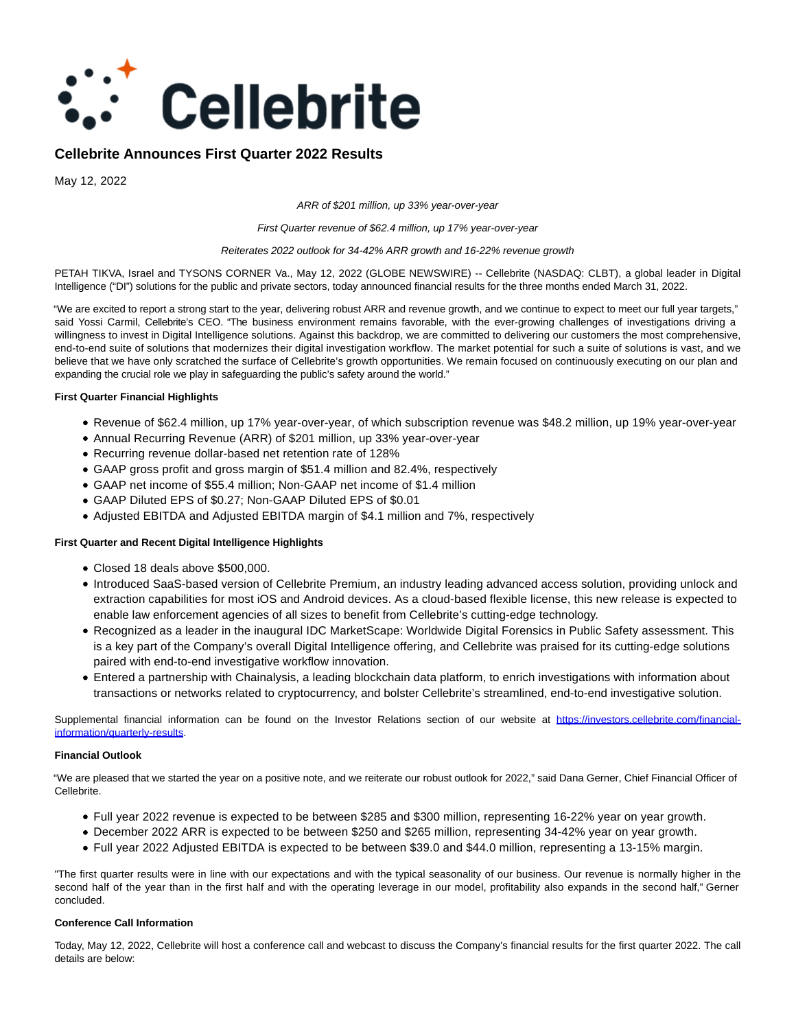

# **Cellebrite Announces First Quarter 2022 Results**

May 12, 2022

ARR of \$201 million, up 33% year-over-year

First Quarter revenue of \$62.4 million, up 17% year-over-year

#### Reiterates 2022 outlook for 34-42% ARR growth and 16-22% revenue growth

PETAH TIKVA, Israel and TYSONS CORNER Va., May 12, 2022 (GLOBE NEWSWIRE) -- Cellebrite (NASDAQ: CLBT), a global leader in Digital Intelligence ("DI") solutions for the public and private sectors, today announced financial results for the three months ended March 31, 2022.

"We are excited to report a strong start to the year, delivering robust ARR and revenue growth, and we continue to expect to meet our full year targets," said Yossi Carmil, Cellebrite's CEO. "The business environment remains favorable, with the ever-growing challenges of investigations driving a willingness to invest in Digital Intelligence solutions. Against this backdrop, we are committed to delivering our customers the most comprehensive, end-to-end suite of solutions that modernizes their digital investigation workflow. The market potential for such a suite of solutions is vast, and we believe that we have only scratched the surface of Cellebrite's growth opportunities. We remain focused on continuously executing on our plan and expanding the crucial role we play in safeguarding the public's safety around the world."

## **First Quarter Financial Highlights**

- Revenue of \$62.4 million, up 17% year-over-year, of which subscription revenue was \$48.2 million, up 19% year-over-year
- Annual Recurring Revenue (ARR) of \$201 million, up 33% year-over-year
- Recurring revenue dollar-based net retention rate of 128%
- GAAP gross profit and gross margin of \$51.4 million and 82.4%, respectively
- GAAP net income of \$55.4 million; Non-GAAP net income of \$1.4 million
- GAAP Diluted EPS of \$0.27; Non-GAAP Diluted EPS of \$0.01
- Adjusted EBITDA and Adjusted EBITDA margin of \$4.1 million and 7%, respectively

### **First Quarter and Recent Digital Intelligence Highlights**

- Closed 18 deals above \$500,000.
- Introduced SaaS-based version of Cellebrite Premium, an industry leading advanced access solution, providing unlock and extraction capabilities for most iOS and Android devices. As a cloud-based flexible license, this new release is expected to enable law enforcement agencies of all sizes to benefit from Cellebrite's cutting-edge technology.
- Recognized as a leader in the inaugural IDC MarketScape: Worldwide Digital Forensics in Public Safety assessment. This is a key part of the Company's overall Digital Intelligence offering, and Cellebrite was praised for its cutting-edge solutions paired with end-to-end investigative workflow innovation.
- Entered a partnership with Chainalysis, a leading blockchain data platform, to enrich investigations with information about transactions or networks related to cryptocurrency, and bolster Cellebrite's streamlined, end-to-end investigative solution.

Supplemental financial information can be found on the Investor Relations section of our website at [https://investors.cellebrite.com/financial](https://www.globenewswire.com/Tracker?data=EBWHLdqlQ6Ke7g_eWxZLAFIPi5DDlA10P48cMBn9dpuBKFuIHoE2gIlVy0tcDHsFLlTpJkeg7qbWWpT5XfgHGozHqFMlPUsDdvz18hpsLcfc0WB0-dLhS6ecYlGmVNw3icSbIrh_M6k5sNF-354_eqaFYKbaM4L-iaansBl4s7B-Az8Q_nHjcW9728GIZ6tb9iX8I1TWkxYWNfh6qmdVsgE8BQcgd2oEDaVPvNt8sKg=)information/quarterly-results.

### **Financial Outlook**

"We are pleased that we started the year on a positive note, and we reiterate our robust outlook for 2022," said Dana Gerner, Chief Financial Officer of Cellebrite.

- Full year 2022 revenue is expected to be between \$285 and \$300 million, representing 16-22% year on year growth.
- December 2022 ARR is expected to be between \$250 and \$265 million, representing 34-42% year on year growth.
- Full year 2022 Adjusted EBITDA is expected to be between \$39.0 and \$44.0 million, representing a 13-15% margin.

"The first quarter results were in line with our expectations and with the typical seasonality of our business. Our revenue is normally higher in the second half of the year than in the first half and with the operating leverage in our model, profitability also expands in the second half," Gerner concluded.

#### **Conference Call Information**

Today, May 12, 2022, Cellebrite will host a conference call and webcast to discuss the Company's financial results for the first quarter 2022. The call details are below: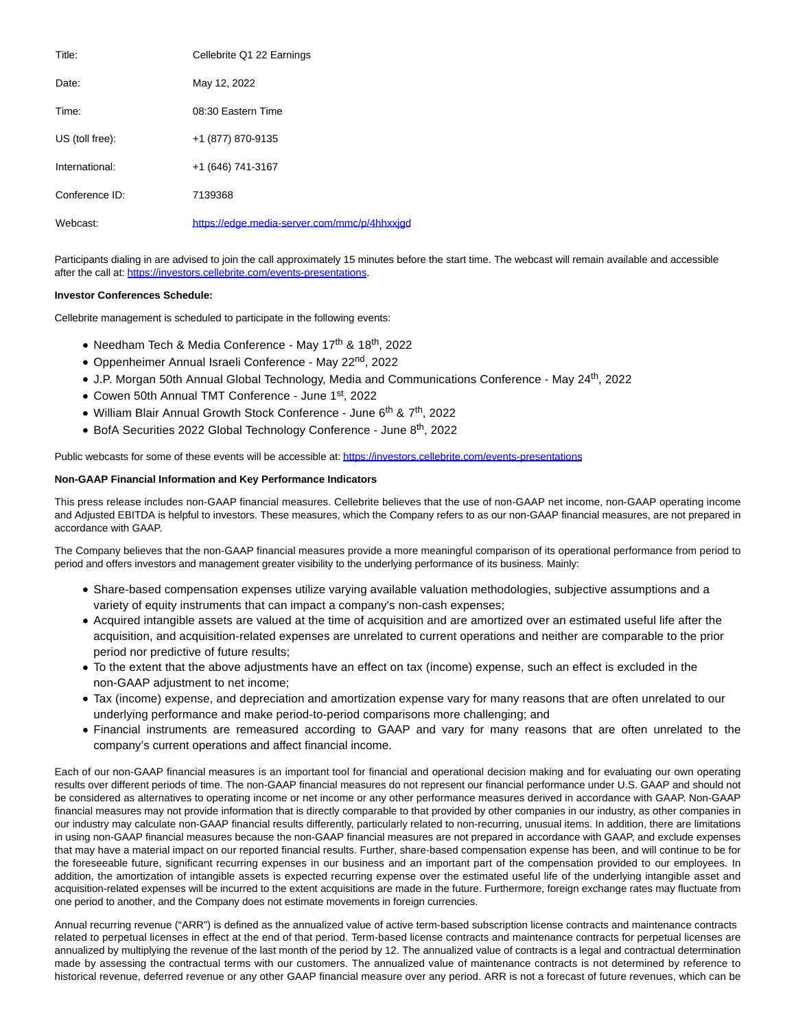| Title:          | Cellebrite Q1 22 Earnings                    |
|-----------------|----------------------------------------------|
| Date:           | May 12, 2022                                 |
| Time:           | 08:30 Fastern Time                           |
| US (toll free): | +1 (877) 870-9135                            |
| International:  | +1 (646) 741-3167                            |
| Conference ID:  | 7139368                                      |
| Webcast:        | https://edge.media-server.com/mmc/p/4hhxxigd |

Participants dialing in are advised to join the call approximately 15 minutes before the start time. The webcast will remain available and accessible after the call at[: https://investors.cellebrite.com/events-presentations.](https://www.globenewswire.com/Tracker?data=EBWHLdqlQ6Ke7g_eWxZLAFIPi5DDlA10P48cMBn9dpse3CHKTJcuIFFlBojDLGs87c-3FG0eTaeJ64dbPQOPRm5ksjGEUpbBfcci5DUavj-vFJvaC9d3q2ZSfVNPAbywGlpgOnOywC65HlhDbXuu2rjg6ILeugP3pkWGFw7mmDpPDJ2xy5U08aO_FRv8mtDuqdTWDwr9Hz22KPDWXpT8maMO0N5yjqcG_16_rUe3V8t2BTG33BKFYKh9X3E6afq1r4iCUZcqt1m8bnA5DeOsFGffqdi3RyTzPNNPWIert9QibHAYZr9qZ281IQ3sdcYDXdzWZhUhfOgUbz-7Uw6otuKsJo2iOWTIVqUmzi4VMUo=)

# **Investor Conferences Schedule:**

Cellebrite management is scheduled to participate in the following events:

- Needham Tech & Media Conference May 17<sup>th</sup> & 18<sup>th</sup>, 2022
- Oppenheimer Annual Israeli Conference May 22nd, 2022
- J.P. Morgan 50th Annual Global Technology, Media and Communications Conference May 24<sup>th</sup>, 2022
- Cowen 50th Annual TMT Conference June 1st, 2022
- William Blair Annual Growth Stock Conference June 6<sup>th</sup> & 7<sup>th</sup>, 2022
- BofA Securities 2022 Global Technology Conference June 8<sup>th</sup>, 2022

Public webcasts for some of these events will be accessible at[: https://investors.cellebrite.com/events-presentations](https://www.globenewswire.com/Tracker?data=EBWHLdqlQ6Ke7g_eWxZLAFIPi5DDlA10P48cMBn9dpse3CHKTJcuIFFlBojDLGs87c-3FG0eTaeJ64dbPQOPRqSKAFyeK5OUfWi9ch-GqfX7OeW93RyTJ300akAL1KyR6R2_8hufPFQ146k0hc2u7TPTVpVhiPr_2NGSw4UXV2JlcZJ6nywakuUBHE7KuZn1)

### **Non-GAAP Financial Information and Key Performance Indicators**

This press release includes non-GAAP financial measures. Cellebrite believes that the use of non-GAAP net income, non-GAAP operating income and Adjusted EBITDA is helpful to investors. These measures, which the Company refers to as our non-GAAP financial measures, are not prepared in accordance with GAAP.

The Company believes that the non-GAAP financial measures provide a more meaningful comparison of its operational performance from period to period and offers investors and management greater visibility to the underlying performance of its business. Mainly:

- Share-based compensation expenses utilize varying available valuation methodologies, subjective assumptions and a variety of equity instruments that can impact a company's non-cash expenses;
- Acquired intangible assets are valued at the time of acquisition and are amortized over an estimated useful life after the acquisition, and acquisition-related expenses are unrelated to current operations and neither are comparable to the prior period nor predictive of future results;
- To the extent that the above adjustments have an effect on tax (income) expense, such an effect is excluded in the non-GAAP adjustment to net income;
- Tax (income) expense, and depreciation and amortization expense vary for many reasons that are often unrelated to our underlying performance and make period-to-period comparisons more challenging; and
- Financial instruments are remeasured according to GAAP and vary for many reasons that are often unrelated to the company's current operations and affect financial income.

Each of our non-GAAP financial measures is an important tool for financial and operational decision making and for evaluating our own operating results over different periods of time. The non-GAAP financial measures do not represent our financial performance under U.S. GAAP and should not be considered as alternatives to operating income or net income or any other performance measures derived in accordance with GAAP. Non-GAAP financial measures may not provide information that is directly comparable to that provided by other companies in our industry, as other companies in our industry may calculate non-GAAP financial results differently, particularly related to non-recurring, unusual items. In addition, there are limitations in using non-GAAP financial measures because the non-GAAP financial measures are not prepared in accordance with GAAP, and exclude expenses that may have a material impact on our reported financial results. Further, share-based compensation expense has been, and will continue to be for the foreseeable future, significant recurring expenses in our business and an important part of the compensation provided to our employees. In addition, the amortization of intangible assets is expected recurring expense over the estimated useful life of the underlying intangible asset and acquisition-related expenses will be incurred to the extent acquisitions are made in the future. Furthermore, foreign exchange rates may fluctuate from one period to another, and the Company does not estimate movements in foreign currencies.

Annual recurring revenue ("ARR") is defined as the annualized value of active term-based subscription license contracts and maintenance contracts related to perpetual licenses in effect at the end of that period. Term-based license contracts and maintenance contracts for perpetual licenses are annualized by multiplying the revenue of the last month of the period by 12. The annualized value of contracts is a legal and contractual determination made by assessing the contractual terms with our customers. The annualized value of maintenance contracts is not determined by reference to historical revenue, deferred revenue or any other GAAP financial measure over any period. ARR is not a forecast of future revenues, which can be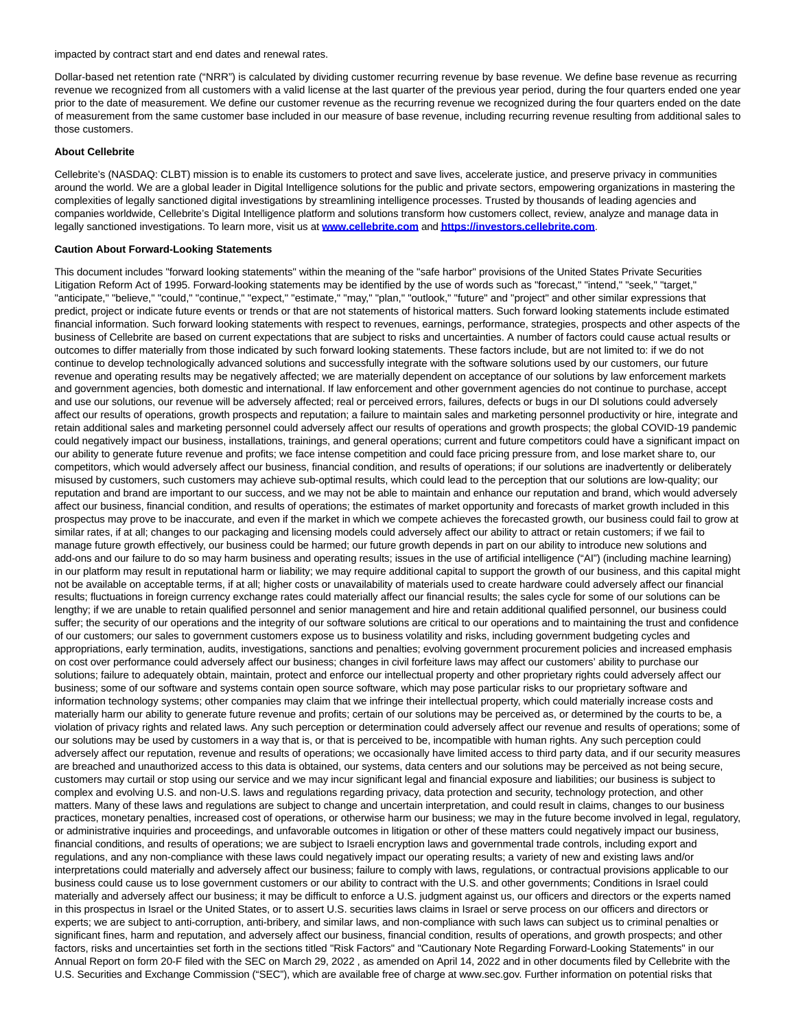impacted by contract start and end dates and renewal rates.

Dollar-based net retention rate ("NRR") is calculated by dividing customer recurring revenue by base revenue. We define base revenue as recurring revenue we recognized from all customers with a valid license at the last quarter of the previous year period, during the four quarters ended one year prior to the date of measurement. We define our customer revenue as the recurring revenue we recognized during the four quarters ended on the date of measurement from the same customer base included in our measure of base revenue, including recurring revenue resulting from additional sales to those customers.

#### **About Cellebrite**

Cellebrite's (NASDAQ: CLBT) mission is to enable its customers to protect and save lives, accelerate justice, and preserve privacy in communities around the world. We are a global leader in Digital Intelligence solutions for the public and private sectors, empowering organizations in mastering the complexities of legally sanctioned digital investigations by streamlining intelligence processes. Trusted by thousands of leading agencies and companies worldwide, Cellebrite's Digital Intelligence platform and solutions transform how customers collect, review, analyze and manage data in legally sanctioned investigations. To learn more, visit us at **[www.cellebrite.com](https://www.globenewswire.com/Tracker?data=DdA1eejbQzylRLFr8UYsw6xdkONhwA3TYnm7za_f1eoF3_NFtcRdyf1ISJSC215OZ9n1JHaagLPH8rQLAwdKUeMrb3Wii2qzk1PQk4B3TWU=)** and **[https://investors.cellebrite.com](https://www.globenewswire.com/Tracker?data=EBWHLdqlQ6Ke7g_eWxZLAFIPi5DDlA10P48cMBn9dptZyjCfM-qchlWOHb4SwTk53Q600M0Xh0vM0xdjxpNG0z81JbNhT0wzeglpUgZN-BvWVoB9RKtAVQGw5ZygGDC_)**.

#### **Caution About Forward-Looking Statements**

This document includes "forward looking statements" within the meaning of the "safe harbor" provisions of the United States Private Securities Litigation Reform Act of 1995. Forward-looking statements may be identified by the use of words such as "forecast," "intend," "seek," "target," "anticipate," "believe," "could," "continue," "expect," "estimate," "may," "plan," "outlook," "future" and "project" and other similar expressions that predict, project or indicate future events or trends or that are not statements of historical matters. Such forward looking statements include estimated financial information. Such forward looking statements with respect to revenues, earnings, performance, strategies, prospects and other aspects of the business of Cellebrite are based on current expectations that are subject to risks and uncertainties. A number of factors could cause actual results or outcomes to differ materially from those indicated by such forward looking statements. These factors include, but are not limited to: if we do not continue to develop technologically advanced solutions and successfully integrate with the software solutions used by our customers, our future revenue and operating results may be negatively affected; we are materially dependent on acceptance of our solutions by law enforcement markets and government agencies, both domestic and international. If law enforcement and other government agencies do not continue to purchase, accept and use our solutions, our revenue will be adversely affected; real or perceived errors, failures, defects or bugs in our DI solutions could adversely affect our results of operations, growth prospects and reputation; a failure to maintain sales and marketing personnel productivity or hire, integrate and retain additional sales and marketing personnel could adversely affect our results of operations and growth prospects; the global COVID-19 pandemic could negatively impact our business, installations, trainings, and general operations; current and future competitors could have a significant impact on our ability to generate future revenue and profits; we face intense competition and could face pricing pressure from, and lose market share to, our competitors, which would adversely affect our business, financial condition, and results of operations; if our solutions are inadvertently or deliberately misused by customers, such customers may achieve sub-optimal results, which could lead to the perception that our solutions are low-quality; our reputation and brand are important to our success, and we may not be able to maintain and enhance our reputation and brand, which would adversely affect our business, financial condition, and results of operations; the estimates of market opportunity and forecasts of market growth included in this prospectus may prove to be inaccurate, and even if the market in which we compete achieves the forecasted growth, our business could fail to grow at similar rates, if at all; changes to our packaging and licensing models could adversely affect our ability to attract or retain customers; if we fail to manage future growth effectively, our business could be harmed; our future growth depends in part on our ability to introduce new solutions and add-ons and our failure to do so may harm business and operating results; issues in the use of artificial intelligence ("AI") (including machine learning) in our platform may result in reputational harm or liability; we may require additional capital to support the growth of our business, and this capital might not be available on acceptable terms, if at all; higher costs or unavailability of materials used to create hardware could adversely affect our financial results; fluctuations in foreign currency exchange rates could materially affect our financial results; the sales cycle for some of our solutions can be lengthy; if we are unable to retain qualified personnel and senior management and hire and retain additional qualified personnel, our business could suffer; the security of our operations and the integrity of our software solutions are critical to our operations and to maintaining the trust and confidence of our customers; our sales to government customers expose us to business volatility and risks, including government budgeting cycles and appropriations, early termination, audits, investigations, sanctions and penalties; evolving government procurement policies and increased emphasis on cost over performance could adversely affect our business; changes in civil forfeiture laws may affect our customers' ability to purchase our solutions; failure to adequately obtain, maintain, protect and enforce our intellectual property and other proprietary rights could adversely affect our business; some of our software and systems contain open source software, which may pose particular risks to our proprietary software and information technology systems; other companies may claim that we infringe their intellectual property, which could materially increase costs and materially harm our ability to generate future revenue and profits; certain of our solutions may be perceived as, or determined by the courts to be, a violation of privacy rights and related laws. Any such perception or determination could adversely affect our revenue and results of operations; some of our solutions may be used by customers in a way that is, or that is perceived to be, incompatible with human rights. Any such perception could adversely affect our reputation, revenue and results of operations; we occasionally have limited access to third party data, and if our security measures are breached and unauthorized access to this data is obtained, our systems, data centers and our solutions may be perceived as not being secure, customers may curtail or stop using our service and we may incur significant legal and financial exposure and liabilities; our business is subject to complex and evolving U.S. and non-U.S. laws and regulations regarding privacy, data protection and security, technology protection, and other matters. Many of these laws and regulations are subject to change and uncertain interpretation, and could result in claims, changes to our business practices, monetary penalties, increased cost of operations, or otherwise harm our business; we may in the future become involved in legal, regulatory, or administrative inquiries and proceedings, and unfavorable outcomes in litigation or other of these matters could negatively impact our business, financial conditions, and results of operations; we are subject to Israeli encryption laws and governmental trade controls, including export and regulations, and any non-compliance with these laws could negatively impact our operating results; a variety of new and existing laws and/or interpretations could materially and adversely affect our business; failure to comply with laws, regulations, or contractual provisions applicable to our business could cause us to lose government customers or our ability to contract with the U.S. and other governments; Conditions in Israel could materially and adversely affect our business; it may be difficult to enforce a U.S. judgment against us, our officers and directors or the experts named in this prospectus in Israel or the United States, or to assert U.S. securities laws claims in Israel or serve process on our officers and directors or experts; we are subject to anti-corruption, anti-bribery, and similar laws, and non-compliance with such laws can subject us to criminal penalties or significant fines, harm and reputation, and adversely affect our business, financial condition, results of operations, and growth prospects; and other factors, risks and uncertainties set forth in the sections titled "Risk Factors" and "Cautionary Note Regarding Forward-Looking Statements" in our Annual Report on form 20-F filed with the SEC on March 29, 2022 , as amended on April 14, 2022 and in other documents filed by Cellebrite with the U.S. Securities and Exchange Commission ("SEC"), which are available free of charge at www.sec.gov. Further information on potential risks that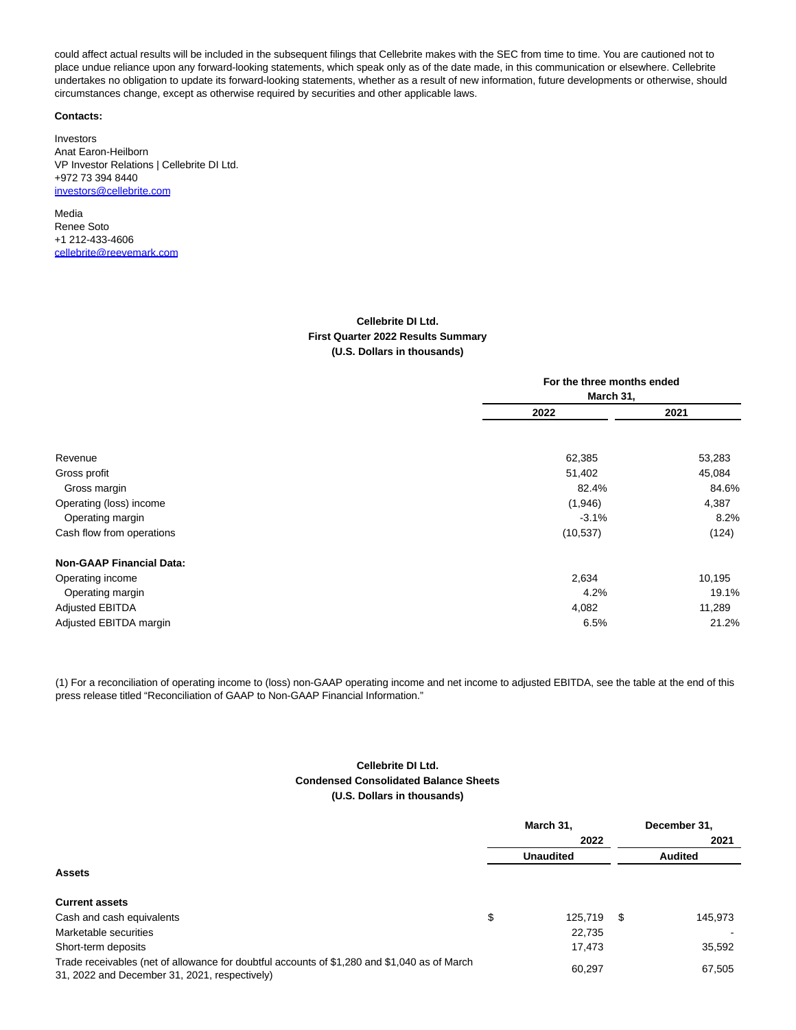could affect actual results will be included in the subsequent filings that Cellebrite makes with the SEC from time to time. You are cautioned not to place undue reliance upon any forward-looking statements, which speak only as of the date made, in this communication or elsewhere. Cellebrite undertakes no obligation to update its forward-looking statements, whether as a result of new information, future developments or otherwise, should circumstances change, except as otherwise required by securities and other applicable laws.

#### **Contacts:**

Investors Anat Earon-Heilborn VP Investor Relations | Cellebrite DI Ltd. +972 73 394 8440 [investors@cellebrite.com](https://www.globenewswire.com/Tracker?data=L9dvF15xJJQSGya6wHO5T4zbSJObQ1v7NzkgN5k08AvnrtlYdsWddpd61EWC2fnomo3kkl7eqTsvUIdHc6W8z_1_AHPpYYlzb43A-XlDnnU=)

#### Media Renee Soto +1 212-433-4606

[cellebrite@reevemark.com](https://www.globenewswire.com/Tracker?data=gaoK6X9dAkNYkOYoxJbU6a4BG_9xeEIMhe-kz_G0G4QTNlvFsK0AGaPTRDulsI_-ry2tjsK2YrLC87RqmNpgbzp3fEdHlwyJhVvRJrV2Wds=)

# **Cellebrite DI Ltd. First Quarter 2022 Results Summary (U.S. Dollars in thousands)**

|                                 | For the three months ended |        |  |
|---------------------------------|----------------------------|--------|--|
|                                 | March 31,                  |        |  |
|                                 | 2022                       | 2021   |  |
|                                 |                            |        |  |
| Revenue                         | 62,385                     | 53,283 |  |
| Gross profit                    | 51,402                     | 45,084 |  |
| Gross margin                    | 82.4%                      | 84.6%  |  |
| Operating (loss) income         | (1,946)                    | 4,387  |  |
| Operating margin                | $-3.1%$                    | 8.2%   |  |
| Cash flow from operations       | (10, 537)                  | (124)  |  |
| <b>Non-GAAP Financial Data:</b> |                            |        |  |
| Operating income                | 2,634                      | 10,195 |  |
| Operating margin                | 4.2%                       | 19.1%  |  |
| <b>Adjusted EBITDA</b>          | 4,082                      | 11,289 |  |
| Adjusted EBITDA margin          | 6.5%                       | 21.2%  |  |

(1) For a reconciliation of operating income to (loss) non-GAAP operating income and net income to adjusted EBITDA, see the table at the end of this press release titled "Reconciliation of GAAP to Non-GAAP Financial Information."

# **Cellebrite DI Ltd. Condensed Consolidated Balance Sheets (U.S. Dollars in thousands)**

|                                                                                                                                               |    | March 31,<br>2022 |      | December 31,   |
|-----------------------------------------------------------------------------------------------------------------------------------------------|----|-------------------|------|----------------|
|                                                                                                                                               |    |                   |      | 2021           |
|                                                                                                                                               |    | <b>Unaudited</b>  |      | <b>Audited</b> |
| <b>Assets</b>                                                                                                                                 |    |                   |      |                |
| <b>Current assets</b>                                                                                                                         |    |                   |      |                |
| Cash and cash equivalents                                                                                                                     | \$ | 125.719           | - \$ | 145,973        |
| Marketable securities                                                                                                                         |    | 22,735            |      |                |
| Short-term deposits                                                                                                                           |    | 17,473            |      | 35,592         |
| Trade receivables (net of allowance for doubtful accounts of \$1,280 and \$1,040 as of March<br>31, 2022 and December 31, 2021, respectively) |    | 60,297            |      | 67,505         |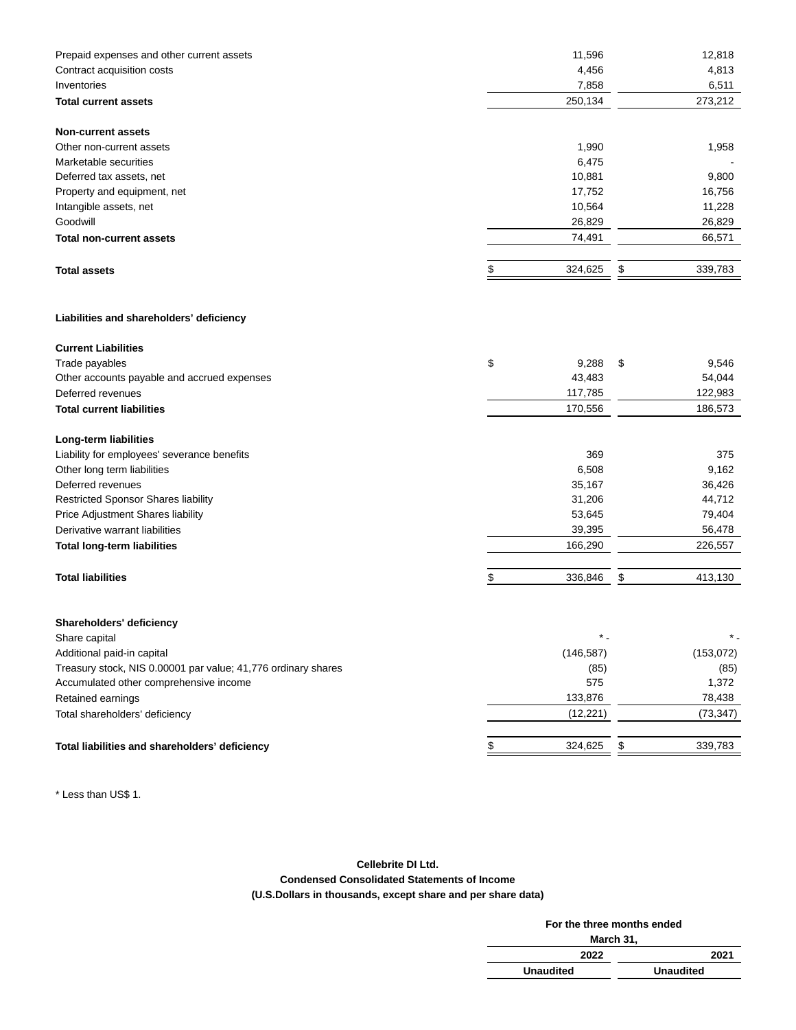| Prepaid expenses and other current assets                     | 11,596        | 12,818        |
|---------------------------------------------------------------|---------------|---------------|
| Contract acquisition costs                                    | 4,456         | 4,813         |
| Inventories                                                   | 7,858         | 6,511         |
| <b>Total current assets</b>                                   | 250,134       | 273,212       |
| <b>Non-current assets</b>                                     |               |               |
| Other non-current assets                                      | 1,990         | 1,958         |
| Marketable securities                                         | 6,475         |               |
| Deferred tax assets, net                                      | 10,881        | 9,800         |
| Property and equipment, net                                   | 17,752        | 16,756        |
| Intangible assets, net                                        | 10,564        | 11,228        |
| Goodwill                                                      | 26,829        | 26,829        |
| <b>Total non-current assets</b>                               | 74,491        | 66,571        |
| <b>Total assets</b>                                           | \$<br>324,625 | \$<br>339,783 |
|                                                               |               |               |
| Liabilities and shareholders' deficiency                      |               |               |
| <b>Current Liabilities</b>                                    |               |               |
| Trade payables                                                | \$<br>9,288   | \$<br>9,546   |
| Other accounts payable and accrued expenses                   | 43,483        | 54,044        |
| Deferred revenues                                             | 117,785       | 122,983       |
| <b>Total current liabilities</b>                              | 170,556       | 186,573       |
| Long-term liabilities                                         |               |               |
| Liability for employees' severance benefits                   | 369           | 375           |
| Other long term liabilities                                   | 6,508         | 9,162         |
| Deferred revenues                                             | 35,167        | 36,426        |
| Restricted Sponsor Shares liability                           | 31,206        | 44,712        |
| Price Adjustment Shares liability                             | 53,645        | 79,404        |
| Derivative warrant liabilities                                | 39,395        | 56,478        |
| <b>Total long-term liabilities</b>                            | 166,290       | 226,557       |
| <b>Total liabilities</b>                                      | \$<br>336,846 | \$<br>413,130 |
| <b>Shareholders' deficiency</b>                               |               |               |
| Share capital                                                 | $^\star$ .    | $^\star$ .    |
| Additional paid-in capital                                    | (146, 587)    | (153, 072)    |
| Treasury stock, NIS 0.00001 par value; 41,776 ordinary shares | (85)          | (85)          |
| Accumulated other comprehensive income                        | 575           | 1,372         |
| Retained earnings                                             | 133,876       | 78,438        |
| Total shareholders' deficiency                                | (12, 221)     | (73, 347)     |
| Total liabilities and shareholders' deficiency                | 324,625       | \$<br>339,783 |
|                                                               |               |               |

\* Less than US\$ 1.

**Cellebrite DI Ltd.**

**Condensed Consolidated Statements of Income (U.S.Dollars in thousands, except share and per share data)**

| For the three months ended |                  |  |  |
|----------------------------|------------------|--|--|
| March 31,                  |                  |  |  |
| 2022                       | 2021             |  |  |
| <b>Unaudited</b>           | <b>Unaudited</b> |  |  |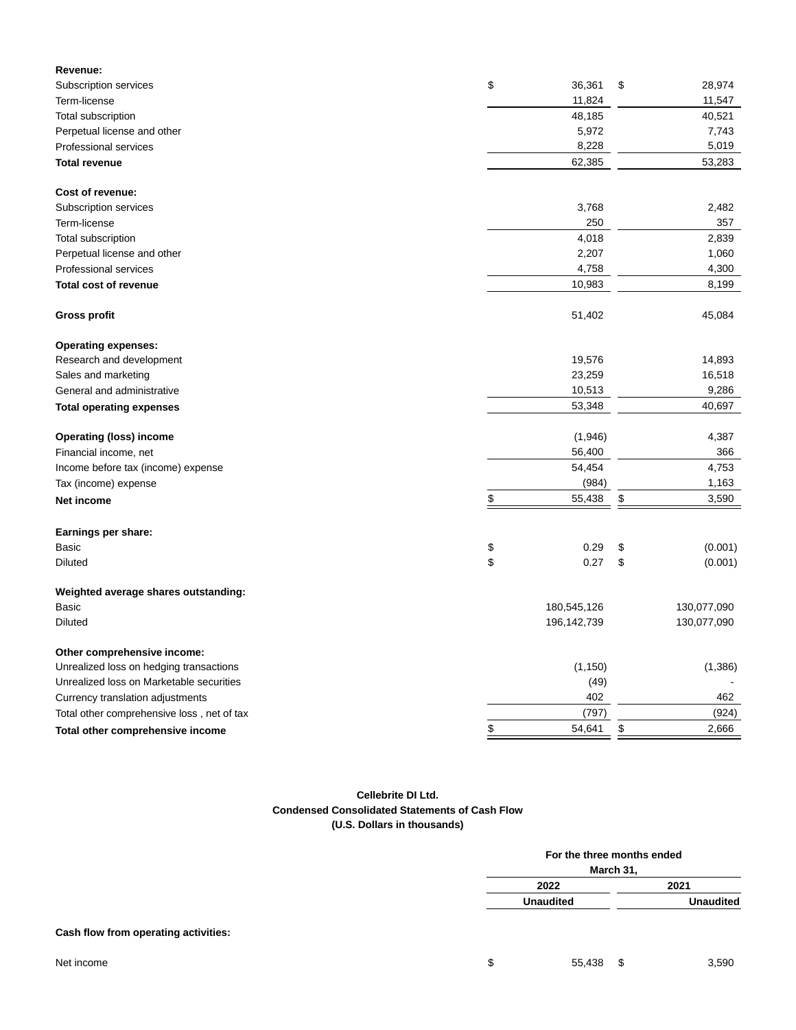| Revenue:                                   |              |               |
|--------------------------------------------|--------------|---------------|
| Subscription services                      | \$<br>36,361 | \$<br>28,974  |
| Term-license                               | 11,824       | 11,547        |
| <b>Total subscription</b>                  | 48,185       | 40,521        |
| Perpetual license and other                | 5,972        | 7,743         |
| Professional services                      | 8,228        | 5,019         |
| <b>Total revenue</b>                       | 62,385       | 53,283        |
| Cost of revenue:                           |              |               |
| Subscription services                      | 3,768        | 2,482         |
| Term-license                               | 250          | 357           |
| <b>Total subscription</b>                  | 4,018        | 2,839         |
| Perpetual license and other                | 2,207        | 1,060         |
| Professional services                      | 4,758        | 4,300         |
| <b>Total cost of revenue</b>               | 10,983       | 8,199         |
| <b>Gross profit</b>                        | 51,402       | 45,084        |
| <b>Operating expenses:</b>                 |              |               |
| Research and development                   | 19,576       | 14,893        |
| Sales and marketing                        | 23,259       | 16,518        |
| General and administrative                 | 10,513       | 9,286         |
| <b>Total operating expenses</b>            | 53,348       | 40,697        |
| <b>Operating (loss) income</b>             | (1,946)      | 4,387         |
| Financial income, net                      | 56,400       | 366           |
| Income before tax (income) expense         | 54,454       | 4,753         |
| Tax (income) expense                       | (984)        | 1,163         |
| Net income                                 | \$<br>55,438 | \$<br>3,590   |
| Earnings per share:                        |              |               |
| <b>Basic</b>                               | \$<br>0.29   | \$<br>(0.001) |
| Diluted                                    | \$<br>0.27   | \$<br>(0.001) |
| Weighted average shares outstanding:       |              |               |
| <b>Basic</b>                               | 180,545,126  | 130,077,090   |
| <b>Diluted</b>                             | 196,142,739  | 130,077,090   |
| Other comprehensive income:                |              |               |
| Unrealized loss on hedging transactions    | (1, 150)     | (1,386)       |
| Unrealized loss on Marketable securities   | (49)         |               |
| Currency translation adjustments           | 402          | 462           |
| Total other comprehensive loss, net of tax | (797)        | (924)         |
| Total other comprehensive income           | \$<br>54,641 | \$<br>2,666   |

# **Cellebrite DI Ltd. Condensed Consolidated Statements of Cash Flow (U.S. Dollars in thousands)**

|                                      | For the three months ended<br>March 31, |      |                  |  |
|--------------------------------------|-----------------------------------------|------|------------------|--|
|                                      | 2022                                    | 2021 |                  |  |
|                                      | <b>Unaudited</b>                        |      | <b>Unaudited</b> |  |
| Cash flow from operating activities: |                                         |      |                  |  |
| Net income                           | \$<br>55,438                            | \$.  | 3,590            |  |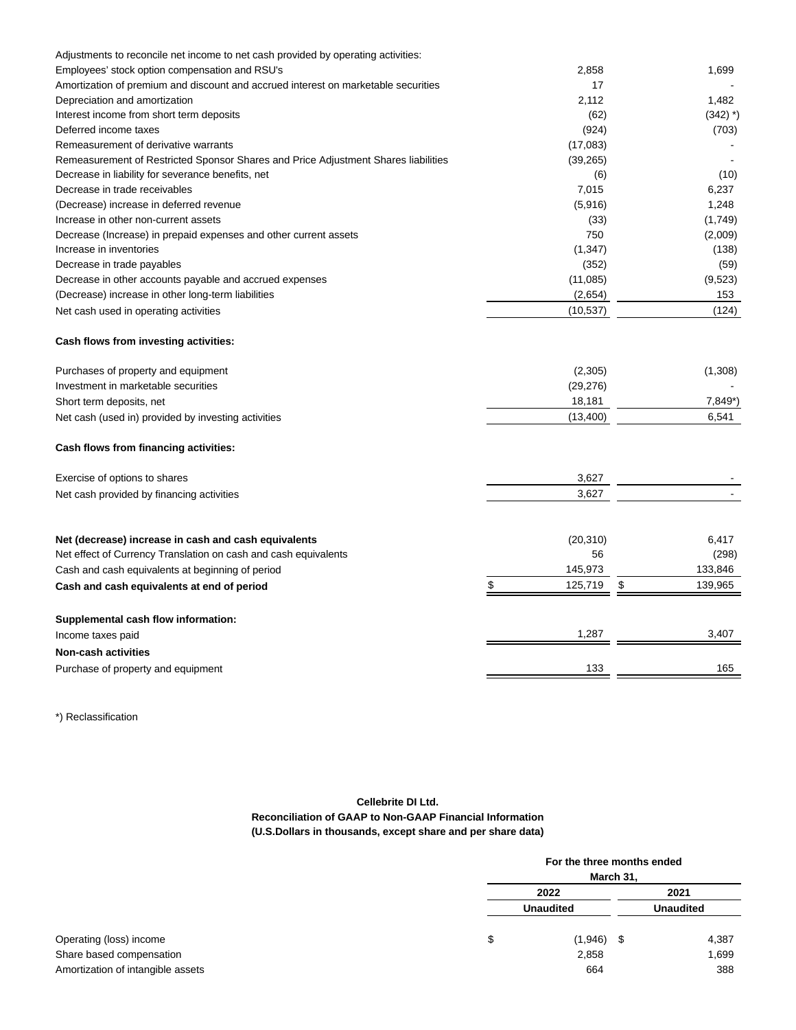| Adjustments to reconcile net income to net cash provided by operating activities:  |                     |                        |
|------------------------------------------------------------------------------------|---------------------|------------------------|
| Employees' stock option compensation and RSU's                                     | 2,858               | 1,699                  |
| Amortization of premium and discount and accrued interest on marketable securities | 17                  |                        |
| Depreciation and amortization                                                      | 2,112               | 1,482                  |
| Interest income from short term deposits                                           | (62)                | $(342)$ <sup>*</sup> ) |
| Deferred income taxes                                                              | (924)               | (703)                  |
| Remeasurement of derivative warrants                                               | (17,083)            |                        |
| Remeasurement of Restricted Sponsor Shares and Price Adjustment Shares liabilities | (39, 265)           |                        |
| Decrease in liability for severance benefits, net                                  | (6)                 | (10)                   |
| Decrease in trade receivables                                                      | 7,015               | 6,237                  |
| (Decrease) increase in deferred revenue                                            | (5,916)             | 1,248                  |
| Increase in other non-current assets                                               | (33)                | (1,749)                |
| Decrease (Increase) in prepaid expenses and other current assets                   | 750                 | (2,009)                |
| Increase in inventories                                                            | (1, 347)            | (138)                  |
| Decrease in trade payables                                                         | (352)               | (59)                   |
| Decrease in other accounts payable and accrued expenses                            | (11,085)            | (9,523)                |
| (Decrease) increase in other long-term liabilities                                 | (2,654)             | 153                    |
| Net cash used in operating activities                                              | (10, 537)           | (124)                  |
| Cash flows from investing activities:                                              |                     |                        |
| Purchases of property and equipment                                                | (2,305)             | (1,308)                |
| Investment in marketable securities                                                | (29, 276)           |                        |
| Short term deposits, net                                                           | 18,181              | 7,849*)                |
| Net cash (used in) provided by investing activities                                | (13, 400)           | 6,541                  |
| Cash flows from financing activities:                                              |                     |                        |
| Exercise of options to shares                                                      | 3,627               |                        |
| Net cash provided by financing activities                                          | 3.627               |                        |
|                                                                                    |                     |                        |
| Net (decrease) increase in cash and cash equivalents                               | (20, 310)           | 6,417                  |
| Net effect of Currency Translation on cash and cash equivalents                    | 56                  | (298)                  |
| Cash and cash equivalents at beginning of period                                   | 145,973             | 133,846                |
| Cash and cash equivalents at end of period                                         | \$<br>125,719<br>\$ | 139,965                |
| Supplemental cash flow information:                                                |                     |                        |
| Income taxes paid                                                                  | 1,287               | 3,407                  |
| <b>Non-cash activities</b>                                                         |                     |                        |
| Purchase of property and equipment                                                 | 133                 | 165                    |

\*) Reclassification

# **Cellebrite DI Ltd. Reconciliation of GAAP to Non-GAAP Financial Information (U.S.Dollars in thousands, except share and per share data)**

|                                   |    | For the three months ended<br>March 31, |  |                  |  |
|-----------------------------------|----|-----------------------------------------|--|------------------|--|
|                                   |    | 2022<br><b>Unaudited</b>                |  | 2021             |  |
|                                   |    |                                         |  | <b>Unaudited</b> |  |
| Operating (loss) income           | \$ | $(1,946)$ \$                            |  | 4,387            |  |
| Share based compensation          |    | 2,858                                   |  | 1,699            |  |
| Amortization of intangible assets |    | 664                                     |  | 388              |  |